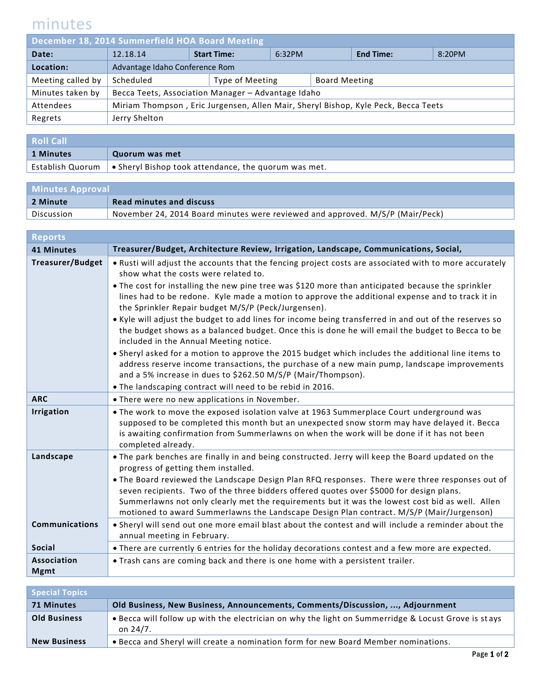## minutes

| December 18, 2014 Summerfield HOA Board Meeting |                                                                                    |  |                    |        |                      |                  |        |
|-------------------------------------------------|------------------------------------------------------------------------------------|--|--------------------|--------|----------------------|------------------|--------|
| Date:                                           | 12.18.14                                                                           |  | <b>Start Time:</b> | 6:32PM |                      | <b>End Time:</b> | 8:20PM |
| Location:                                       | Advantage Idaho Conference Rom                                                     |  |                    |        |                      |                  |        |
| Meeting called by                               | Scheduled                                                                          |  | Type of Meeting    |        | <b>Board Meeting</b> |                  |        |
| Minutes taken by                                | Becca Teets, Association Manager - Advantage Idaho                                 |  |                    |        |                      |                  |        |
| Attendees                                       | Miriam Thompson, Eric Jurgensen, Allen Mair, Sheryl Bishop, Kyle Peck, Becca Teets |  |                    |        |                      |                  |        |
| Regrets                                         | Jerry Shelton                                                                      |  |                    |        |                      |                  |        |
|                                                 |                                                                                    |  |                    |        |                      |                  |        |

| <b>Roll Call</b> |                                                                                          |  |
|------------------|------------------------------------------------------------------------------------------|--|
| 1 Minutes        | Quorum was met                                                                           |  |
|                  | Establish Quorum $\, \mid \, \bullet$ Sheryl Bishop took attendance, the quorum was met. |  |

| <b>Minutes Approval</b> |                                                                               |  |
|-------------------------|-------------------------------------------------------------------------------|--|
| 2 Minute                | <b>Read minutes and discuss</b>                                               |  |
| Discussion              | November 24, 2014 Board minutes were reviewed and approved. M/S/P (Mair/Peck) |  |

| <b>Reports</b>                    |                                                                                                                                                                                                                                                                                                                                                                                                                                                                                                                                                                                                                                                                                                                                                                                                                                                                                                                                                                                                         |
|-----------------------------------|---------------------------------------------------------------------------------------------------------------------------------------------------------------------------------------------------------------------------------------------------------------------------------------------------------------------------------------------------------------------------------------------------------------------------------------------------------------------------------------------------------------------------------------------------------------------------------------------------------------------------------------------------------------------------------------------------------------------------------------------------------------------------------------------------------------------------------------------------------------------------------------------------------------------------------------------------------------------------------------------------------|
| <b>41 Minutes</b>                 | Treasurer/Budget, Architecture Review, Irrigation, Landscape, Communications, Social,                                                                                                                                                                                                                                                                                                                                                                                                                                                                                                                                                                                                                                                                                                                                                                                                                                                                                                                   |
| <b>Treasurer/Budget</b>           | • Rusti will adjust the accounts that the fencing project costs are associated with to more accurately<br>show what the costs were related to.<br>• The cost for installing the new pine tree was \$120 more than anticipated because the sprinkler<br>lines had to be redone. Kyle made a motion to approve the additional expense and to track it in<br>the Sprinkler Repair budget M/S/P (Peck/Jurgensen).<br>• Kyle will adjust the budget to add lines for income being transferred in and out of the reserves so<br>the budget shows as a balanced budget. Once this is done he will email the budget to Becca to be<br>included in the Annual Meeting notice.<br>• Sheryl asked for a motion to approve the 2015 budget which includes the additional line items to<br>address reserve income transactions, the purchase of a new main pump, landscape improvements<br>and a 5% increase in dues to \$262.50 M/S/P (Mair/Thompson).<br>. The landscaping contract will need to be rebid in 2016. |
| <b>ARC</b>                        | • There were no new applications in November.                                                                                                                                                                                                                                                                                                                                                                                                                                                                                                                                                                                                                                                                                                                                                                                                                                                                                                                                                           |
| <b>Irrigation</b>                 | • The work to move the exposed isolation valve at 1963 Summerplace Court underground was<br>supposed to be completed this month but an unexpected snow storm may have delayed it. Becca<br>is awaiting confirmation from Summerlawns on when the work will be done if it has not been<br>completed already.                                                                                                                                                                                                                                                                                                                                                                                                                                                                                                                                                                                                                                                                                             |
| Landscape                         | . The park benches are finally in and being constructed. Jerry will keep the Board updated on the<br>progress of getting them installed.<br>. The Board reviewed the Landscape Design Plan RFQ responses. There were three responses out of<br>seven recipients. Two of the three bidders offered quotes over \$5000 for design plans.<br>Summerlawns not only clearly met the requirements but it was the lowest cost bid as well. Allen<br>motioned to award Summerlawns the Landscape Design Plan contract. M/S/P (Mair/Jurgenson)                                                                                                                                                                                                                                                                                                                                                                                                                                                                   |
| <b>Communications</b>             | . Sheryl will send out one more email blast about the contest and will include a reminder about the<br>annual meeting in February.                                                                                                                                                                                                                                                                                                                                                                                                                                                                                                                                                                                                                                                                                                                                                                                                                                                                      |
| <b>Social</b>                     | • There are currently 6 entries for the holiday decorations contest and a few more are expected.                                                                                                                                                                                                                                                                                                                                                                                                                                                                                                                                                                                                                                                                                                                                                                                                                                                                                                        |
| <b>Association</b><br><b>Mgmt</b> | . Trash cans are coming back and there is one home with a persistent trailer.                                                                                                                                                                                                                                                                                                                                                                                                                                                                                                                                                                                                                                                                                                                                                                                                                                                                                                                           |

| <b>Special Topics</b> |                                                                                                                    |  |
|-----------------------|--------------------------------------------------------------------------------------------------------------------|--|
| 71 Minutes            | Old Business, New Business, Announcements, Comments/Discussion, , Adjournment                                      |  |
| <b>Old Business</b>   | • Becca will follow up with the electrician on why the light on Summerridge & Locust Grove is stays<br>on $24/7$ . |  |
| <b>New Business</b>   | . Becca and Sheryl will create a nomination form for new Board Member nominations.                                 |  |